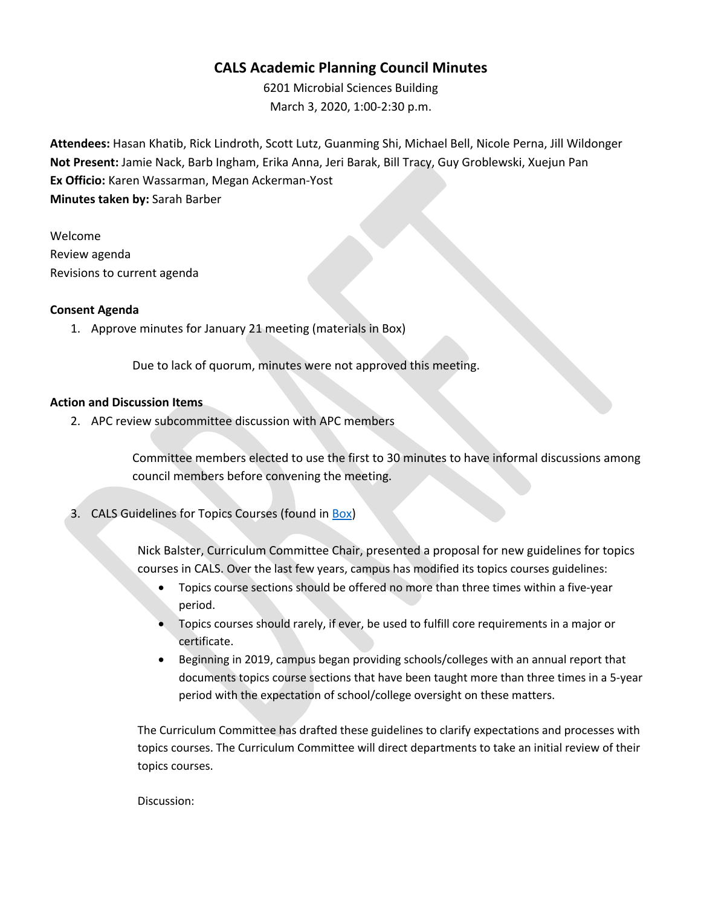## **CALS Academic Planning Council Minutes**

6201 Microbial Sciences Building March 3, 2020, 1:00-2:30 p.m.

**Attendees:** Hasan Khatib, Rick Lindroth, Scott Lutz, Guanming Shi, Michael Bell, Nicole Perna, Jill Wildonger **Not Present:** Jamie Nack, Barb Ingham, Erika Anna, Jeri Barak, Bill Tracy, Guy Groblewski, Xuejun Pan **Ex Officio:** Karen Wassarman, Megan Ackerman-Yost **Minutes taken by:** Sarah Barber

Welcome Review agenda Revisions to current agenda

### **Consent Agenda**

1. Approve minutes for January 21 meeting (materials in Box)

Due to lack of quorum, minutes were not approved this meeting.

#### **Action and Discussion Items**

2. APC review subcommittee discussion with APC members

Committee members elected to use the first to 30 minutes to have informal discussions among council members before convening the meeting.

3. CALS Guidelines for Topics Courses (found in Box)

Nick Balster, Curriculum Committee Chair, presented a proposal for new guidelines for topics courses in CALS. Over the last few years, campus has modified its topics courses guidelines:

- Topics course sections should be offered no more than three times within a five-year period.
- Topics courses should rarely, if ever, be used to fulfill core requirements in a major or certificate.
- Beginning in 2019, campus began providing schools/colleges with an annual report that documents topics course sections that have been taught more than three times in a 5-year period with the expectation of school/college oversight on these matters.

The Curriculum Committee has drafted these guidelines to clarify expectations and processes with topics courses. The Curriculum Committee will direct departments to take an initial review of their topics courses.

Discussion: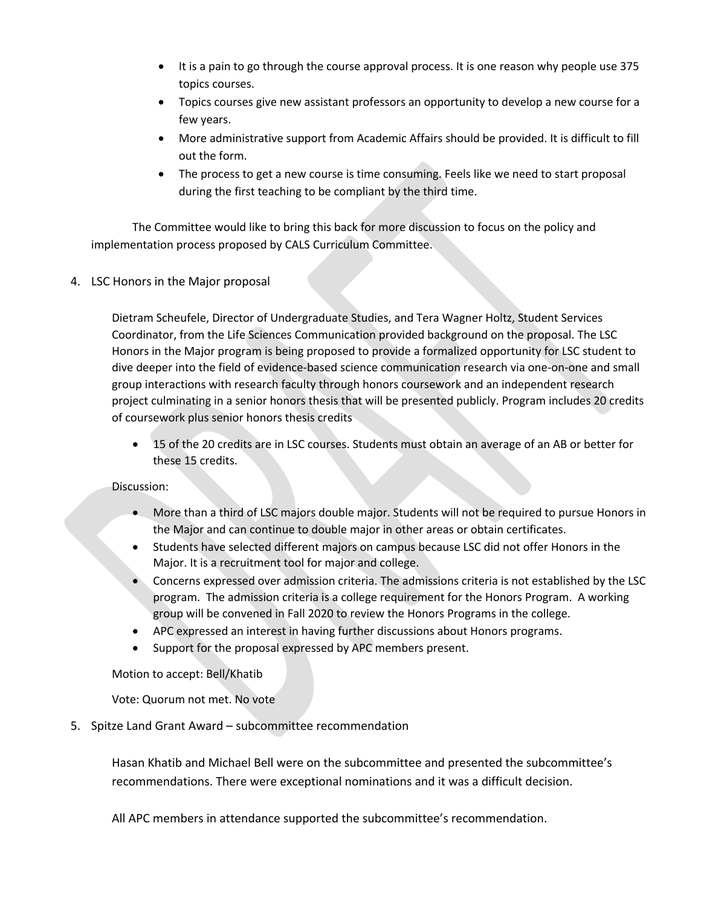- It is a pain to go through the course approval process. It is one reason why people use 375 topics courses.
- Topics courses give new assistant professors an opportunity to develop a new course for a few years.
- More administrative support from Academic Affairs should be provided. It is difficult to fill out the form.
- The process to get a new course is time consuming. Feels like we need to start proposal during the first teaching to be compliant by the third time.

The Committee would like to bring this back for more discussion to focus on the policy and implementation process proposed by CALS Curriculum Committee.

4. LSC Honors in the Major proposal

Dietram Scheufele, Director of Undergraduate Studies, and Tera Wagner Holtz, Student Services Coordinator, from the Life Sciences Communication provided background on the proposal. The LSC Honors in the Major program is being proposed to provide a formalized opportunity for LSC student to dive deeper into the field of evidence-based science communication research via one-on-one and small group interactions with research faculty through honors coursework and an independent research project culminating in a senior honors thesis that will be presented publicly. Program includes 20 credits of coursework plus senior honors thesis credits

• 15 of the 20 credits are in LSC courses. Students must obtain an average of an AB or better for these 15 credits.

### Discussion:

- More than a third of LSC majors double major. Students will not be required to pursue Honors in the Major and can continue to double major in other areas or obtain certificates.
- Students have selected different majors on campus because LSC did not offer Honors in the Major. It is a recruitment tool for major and college.
- Concerns expressed over admission criteria. The admissions criteria is not established by the LSC program. The admission criteria is a college requirement for the Honors Program. A working group will be convened in Fall 2020 to review the Honors Programs in the college.
- APC expressed an interest in having further discussions about Honors programs.
- Support for the proposal expressed by APC members present.

### Motion to accept: Bell/Khatib

Vote: Quorum not met. No vote

### 5. Spitze Land Grant Award – subcommittee recommendation

Hasan Khatib and Michael Bell were on the subcommittee and presented the subcommittee's recommendations. There were exceptional nominations and it was a difficult decision.

All APC members in attendance supported the subcommittee's recommendation.